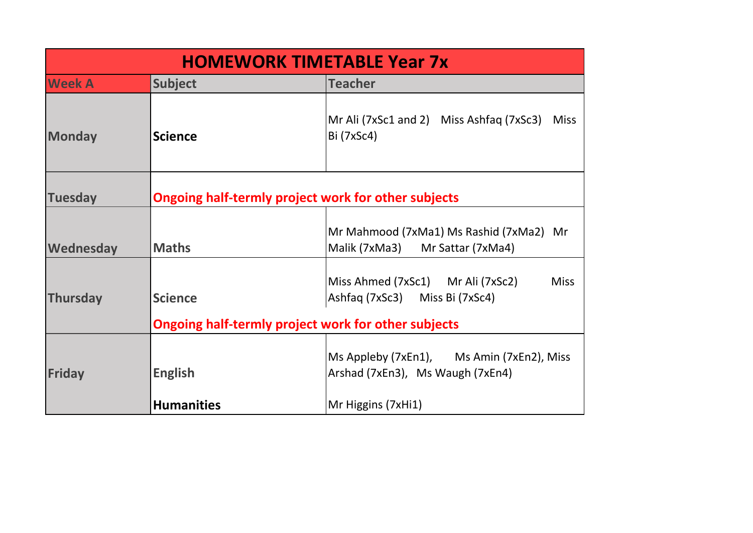| <b>HOMEWORK TIMETABLE Year 7x</b> |                                                                              |                                                                                                     |  |  |
|-----------------------------------|------------------------------------------------------------------------------|-----------------------------------------------------------------------------------------------------|--|--|
| <b>Week A</b>                     | <b>Subject</b>                                                               | <b>Teacher</b>                                                                                      |  |  |
| <b>Monday</b>                     | <b>Science</b>                                                               | Mr Ali (7xSc1 and 2) Miss Ashfaq (7xSc3)<br><b>Miss</b><br>Bi (7xSc4)                               |  |  |
| <b>Tuesday</b>                    | <b>Ongoing half-termly project work for other subjects</b>                   |                                                                                                     |  |  |
| Wednesday                         | <b>Maths</b>                                                                 | Mr Mahmood (7xMa1) Ms Rashid (7xMa2) Mr<br>Malik (7xMa3)<br>Mr Sattar (7xMa4)                       |  |  |
| <b>Thursday</b>                   | <b>Science</b><br><b>Ongoing half-termly project work for other subjects</b> | Miss Ahmed (7xSc1) Mr Ali (7xSc2)<br><b>Miss</b><br>Ashfaq (7xSc3) Miss Bi (7xSc4)                  |  |  |
| Friday                            | <b>English</b><br><b>Humanities</b>                                          | Ms Appleby (7xEn1), Ms Amin (7xEn2), Miss<br>Arshad (7xEn3), Ms Waugh (7xEn4)<br>Mr Higgins (7xHi1) |  |  |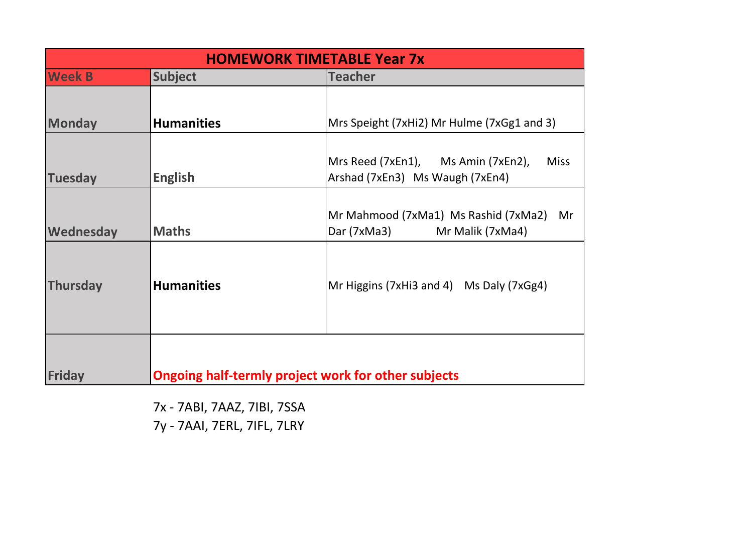| <b>HOMEWORK TIMETABLE Year 7x</b> |                   |                                                                                      |  |
|-----------------------------------|-------------------|--------------------------------------------------------------------------------------|--|
| <b>Week B</b>                     | <b>Subject</b>    | <b>Teacher</b>                                                                       |  |
| <b>Monday</b>                     | <b>Humanities</b> | Mrs Speight (7xHi2) Mr Hulme (7xGg1 and 3)                                           |  |
| <b>Tuesday</b>                    | <b>English</b>    | Mrs Reed (7xEn1), Ms Amin (7xEn2),<br><b>Miss</b><br>Arshad (7xEn3) Ms Waugh (7xEn4) |  |
| Wednesday                         | <b>Maths</b>      | Mr Mahmood (7xMa1) Ms Rashid (7xMa2)<br>Mr<br>Dar (7xMa3)<br>Mr Malik (7xMa4)        |  |
| <b>Thursday</b>                   | <b>Humanities</b> | Mr Higgins (7xHi3 and 4) Ms Daly (7xGg4)                                             |  |
| Friday                            |                   | Ongoing half-termly project work for other subjects                                  |  |

7x - 7ABI, 7AAZ, 7IBI, 7SSA

7y - 7AAI, 7ERL, 7IFL, 7LRY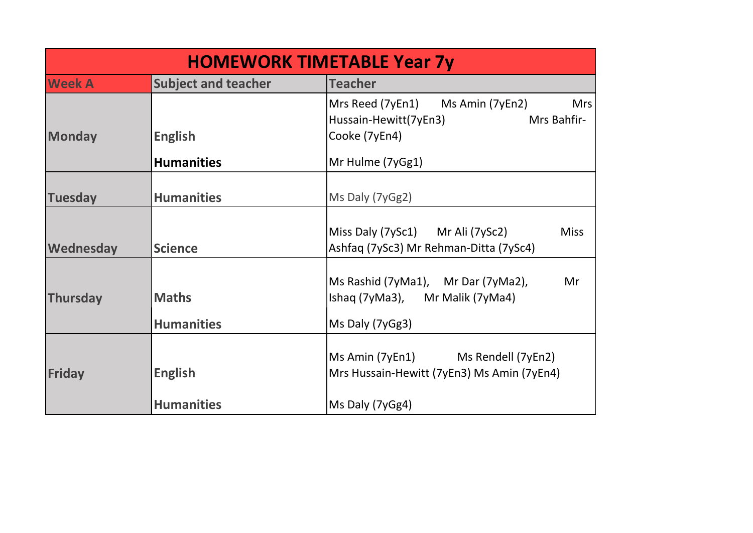| <b>HOMEWORK TIMETABLE Year 7y</b> |                                   |                                                                                                |  |  |
|-----------------------------------|-----------------------------------|------------------------------------------------------------------------------------------------|--|--|
| <b>Week A</b>                     | <b>Subject and teacher</b>        | <b>Teacher</b>                                                                                 |  |  |
|                                   |                                   | Mrs Reed (7yEn1)<br>Ms Amin (7yEn2)<br><b>Mrs</b>                                              |  |  |
|                                   |                                   | Mrs Bahfir-<br>Hussain-Hewitt(7yEn3)                                                           |  |  |
| <b>Monday</b>                     | <b>English</b>                    | Cooke (7yEn4)                                                                                  |  |  |
|                                   | <b>Humanities</b>                 | Mr Hulme (7yGg1)                                                                               |  |  |
|                                   |                                   |                                                                                                |  |  |
| <b>Tuesday</b>                    | <b>Humanities</b>                 | Ms Daly (7yGg2)                                                                                |  |  |
| Wednesday                         | <b>Science</b>                    | Miss Daly (7ySc1) Mr Ali (7ySc2)<br><b>Miss</b><br>Ashfaq (7ySc3) Mr Rehman-Ditta (7ySc4)      |  |  |
| Thursday                          | <b>Maths</b><br><b>Humanities</b> | Ms Rashid (7yMa1), Mr Dar (7yMa2),<br>Mr<br>Ishaq (7yMa3), Mr Malik (7yMa4)<br>Ms Daly (7yGg3) |  |  |
|                                   |                                   |                                                                                                |  |  |
| <b>Friday</b>                     | <b>English</b>                    | Ms Amin (7yEn1) Ms Rendell (7yEn2)<br>Mrs Hussain-Hewitt (7yEn3) Ms Amin (7yEn4)               |  |  |
|                                   | <b>Humanities</b>                 | Ms Daly (7yGg4)                                                                                |  |  |